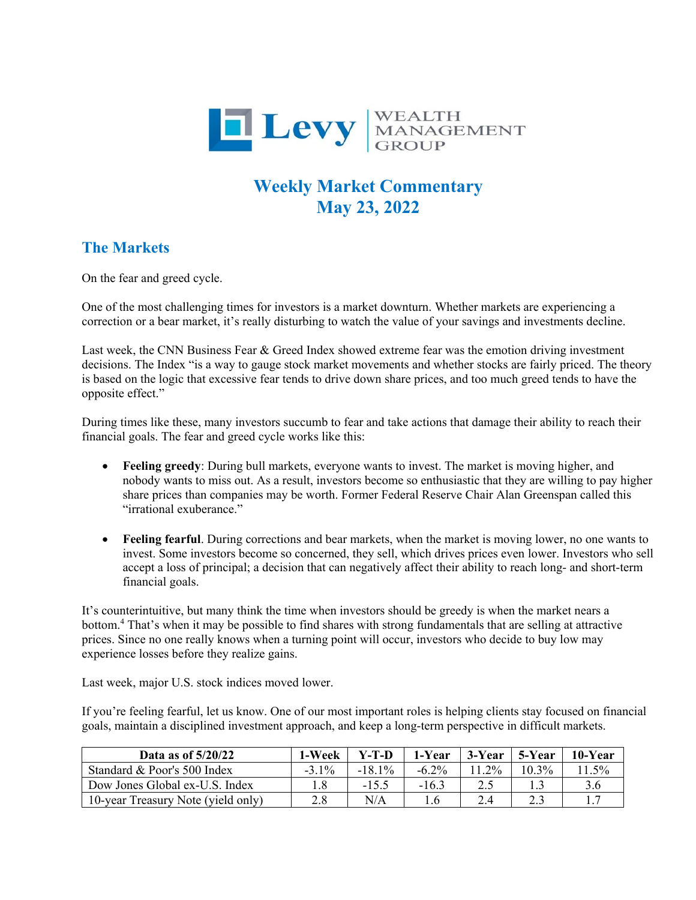

## **Weekly Market Commentary May 23, 2022**

## **The Markets**

On the fear and greed cycle.

One of the most challenging times for investors is a market downturn. Whether markets are experiencing a correction or a bear market, it's really disturbing to watch the value of your savings and investments decline.

Last week, the CNN Business Fear & Greed Index showed extreme fear was the emotion driving investment decisions. The Index "is a way to gauge stock market movements and whether stocks are fairly priced. The theory is based on the logic that excessive fear tends to drive down share prices, and too much greed tends to have the opposite effect."

During times like these, many investors succumb to fear and take actions that damage their ability to reach their financial goals. The fear and greed cycle works like this:

- **Feeling greedy**: During bull markets, everyone wants to invest. The market is moving higher, and nobody wants to miss out. As a result, investors become so enthusiastic that they are willing to pay higher share prices than companies may be worth. Former Federal Reserve Chair Alan Greenspan called this "irrational exuberance."
- **Feeling fearful**. During corrections and bear markets, when the market is moving lower, no one wants to invest. Some investors become so concerned, they sell, which drives prices even lower. Investors who sell accept a loss of principal; a decision that can negatively affect their ability to reach long- and short-term financial goals.

It's counterintuitive, but many think the time when investors should be greedy is when the market nears a bottom.<sup>4</sup> That's when it may be possible to find shares with strong fundamentals that are selling at attractive prices. Since no one really knows when a turning point will occur, investors who decide to buy low may experience losses before they realize gains.

Last week, major U.S. stock indices moved lower.

If you're feeling fearful, let us know. One of our most important roles is helping clients stay focused on financial goals, maintain a disciplined investment approach, and keep a long-term perspective in difficult markets.

| Data as of $5/20/22$               | 1-Week   | $Y-T-D$   | 1-Year   | 3-Year   | 5-Year   | 10-Year |
|------------------------------------|----------|-----------|----------|----------|----------|---------|
| Standard & Poor's 500 Index        | $-3.1\%$ | $-18.1\%$ | $-6.2\%$ | $11.2\%$ | $10.3\%$ | $.5\%$  |
| Dow Jones Global ex-U.S. Index     |          | $-15.5$   | $-16.3$  | 2.5      |          | 3.6     |
| 10-year Treasury Note (yield only) | 2.8      | N/A       |          | 2.4      |          |         |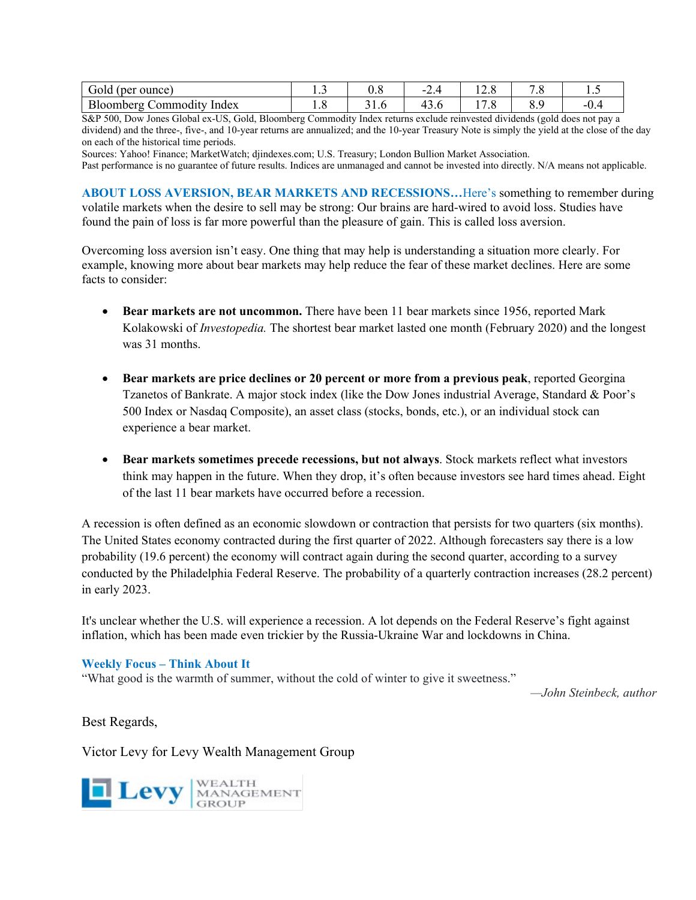| (per ounce)<br>Gold             | ⊥ ∙ັ | v.o    | ⌒<br>$\overline{\phantom{0}}$<br><u>.</u> | $\sim$<br>14.U                      | ۰.٥ | .      |
|---------------------------------|------|--------|-------------------------------------------|-------------------------------------|-----|--------|
| Bloomberg<br>∟ommoditv<br>Index | 1.U  | J I .U | $\sim$<br>4<br>                           | $\overline{\phantom{0}}$<br>$\cdot$ | υ., | $-U$ . |

S&P 500, Dow Jones Global ex-US, Gold, Bloomberg Commodity Index returns exclude reinvested dividends (gold does not pay a dividend) and the three-, five-, and 10-year returns are annualized; and the 10-year Treasury Note is simply the yield at the close of the day on each of the historical time periods.

Sources: Yahoo! Finance; MarketWatch; djindexes.com; U.S. Treasury; London Bullion Market Association.

Past performance is no guarantee of future results. Indices are unmanaged and cannot be invested into directly. N/A means not applicable.

**ABOUT LOSS AVERSION, BEAR MARKETS AND RECESSIONS…**Here's something to remember during volatile markets when the desire to sell may be strong: Our brains are hard-wired to avoid loss. Studies have found the pain of loss is far more powerful than the pleasure of gain. This is called loss aversion.

Overcoming loss aversion isn't easy. One thing that may help is understanding a situation more clearly. For example, knowing more about bear markets may help reduce the fear of these market declines. Here are some facts to consider:

- **Bear markets are not uncommon.** There have been 11 bear markets since 1956, reported Mark Kolakowski of *Investopedia.* The shortest bear market lasted one month (February 2020) and the longest was 31 months.
- **Bear markets are price declines or 20 percent or more from a previous peak**, reported Georgina Tzanetos of Bankrate. A major stock index (like the Dow Jones industrial Average, Standard & Poor's 500 Index or Nasdaq Composite), an asset class (stocks, bonds, etc.), or an individual stock can experience a bear market.
- **Bear markets sometimes precede recessions, but not always**. Stock markets reflect what investors think may happen in the future. When they drop, it's often because investors see hard times ahead. Eight of the last 11 bear markets have occurred before a recession.

A recession is often defined as an economic slowdown or contraction that persists for two quarters (six months). The United States economy contracted during the first quarter of 2022. Although forecasters say there is a low probability (19.6 percent) the economy will contract again during the second quarter, according to a survey conducted by the Philadelphia Federal Reserve. The probability of a quarterly contraction increases (28.2 percent) in early 2023.

It's unclear whether the U.S. will experience a recession. A lot depends on the Federal Reserve's fight against inflation, which has been made even trickier by the Russia-Ukraine War and lockdowns in China.

## **Weekly Focus – Think About It**

"What good is the warmth of summer, without the cold of winter to give it sweetness."

*—John Steinbeck, author*

Best Regards,

Victor Levy for Levy Wealth Management Group

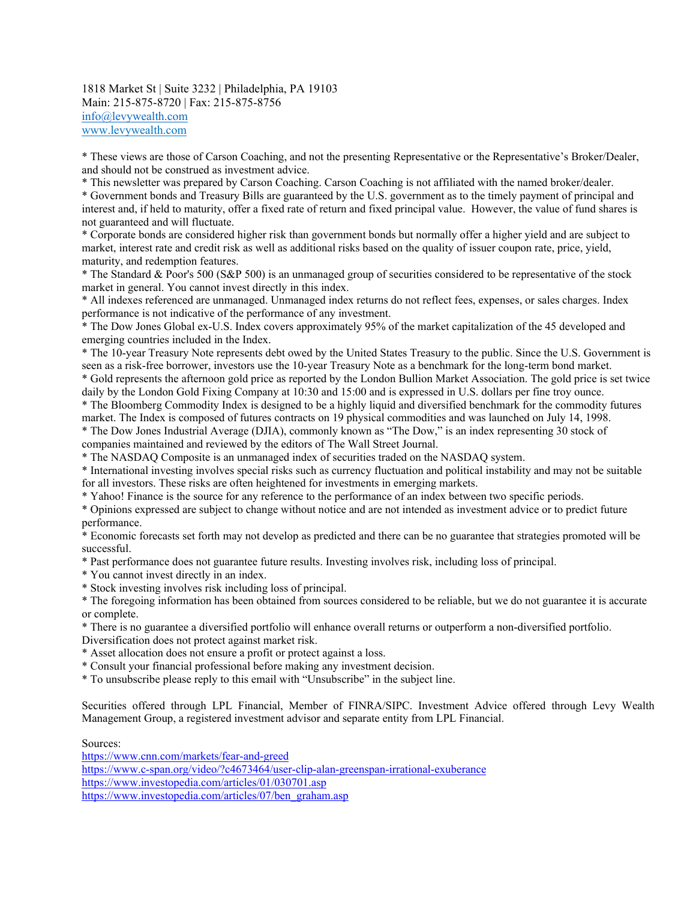1818 Market St | Suite 3232 | Philadelphia, PA 19103 Main: 215-875-8720 | Fax: 215-875-8756 [info@levywealth.com](mailto:info@levywealth.com) [www.levywealth.com](http://www.levywealth.com/)

\* These views are those of Carson Coaching, and not the presenting Representative or the Representative's Broker/Dealer, and should not be construed as investment advice.

\* This newsletter was prepared by Carson Coaching. Carson Coaching is not affiliated with the named broker/dealer.

\* Government bonds and Treasury Bills are guaranteed by the U.S. government as to the timely payment of principal and interest and, if held to maturity, offer a fixed rate of return and fixed principal value. However, the value of fund shares is not guaranteed and will fluctuate.

\* Corporate bonds are considered higher risk than government bonds but normally offer a higher yield and are subject to market, interest rate and credit risk as well as additional risks based on the quality of issuer coupon rate, price, yield, maturity, and redemption features.

\* The Standard & Poor's 500 (S&P 500) is an unmanaged group of securities considered to be representative of the stock market in general. You cannot invest directly in this index.

\* All indexes referenced are unmanaged. Unmanaged index returns do not reflect fees, expenses, or sales charges. Index performance is not indicative of the performance of any investment.

\* The Dow Jones Global ex-U.S. Index covers approximately 95% of the market capitalization of the 45 developed and emerging countries included in the Index.

\* The 10-year Treasury Note represents debt owed by the United States Treasury to the public. Since the U.S. Government is seen as a risk-free borrower, investors use the 10-year Treasury Note as a benchmark for the long-term bond market.

\* Gold represents the afternoon gold price as reported by the London Bullion Market Association. The gold price is set twice daily by the London Gold Fixing Company at 10:30 and 15:00 and is expressed in U.S. dollars per fine troy ounce.

\* The Bloomberg Commodity Index is designed to be a highly liquid and diversified benchmark for the commodity futures market. The Index is composed of futures contracts on 19 physical commodities and was launched on July 14, 1998.

\* The Dow Jones Industrial Average (DJIA), commonly known as "The Dow," is an index representing 30 stock of companies maintained and reviewed by the editors of The Wall Street Journal.

\* The NASDAQ Composite is an unmanaged index of securities traded on the NASDAQ system.

\* International investing involves special risks such as currency fluctuation and political instability and may not be suitable for all investors. These risks are often heightened for investments in emerging markets.

\* Yahoo! Finance is the source for any reference to the performance of an index between two specific periods.

\* Opinions expressed are subject to change without notice and are not intended as investment advice or to predict future performance.

\* Economic forecasts set forth may not develop as predicted and there can be no guarantee that strategies promoted will be successful.

\* Past performance does not guarantee future results. Investing involves risk, including loss of principal.

\* You cannot invest directly in an index.

\* Stock investing involves risk including loss of principal.

\* The foregoing information has been obtained from sources considered to be reliable, but we do not guarantee it is accurate or complete.

\* There is no guarantee a diversified portfolio will enhance overall returns or outperform a non-diversified portfolio. Diversification does not protect against market risk.

\* Asset allocation does not ensure a profit or protect against a loss.

\* Consult your financial professional before making any investment decision.

\* To unsubscribe please reply to this email with "Unsubscribe" in the subject line.

Securities offered through LPL Financial, Member of FINRA/SIPC. Investment Advice offered through Levy Wealth Management Group, a registered investment advisor and separate entity from LPL Financial.

Sources:

<https://www.cnn.com/markets/fear-and-greed> <https://www.c-span.org/video/?c4673464/user-clip-alan-greenspan-irrational-exuberance> <https://www.investopedia.com/articles/01/030701.asp> [https://www.investopedia.com/articles/07/ben\\_graham.asp](https://www.investopedia.com/articles/07/ben_graham.asp)